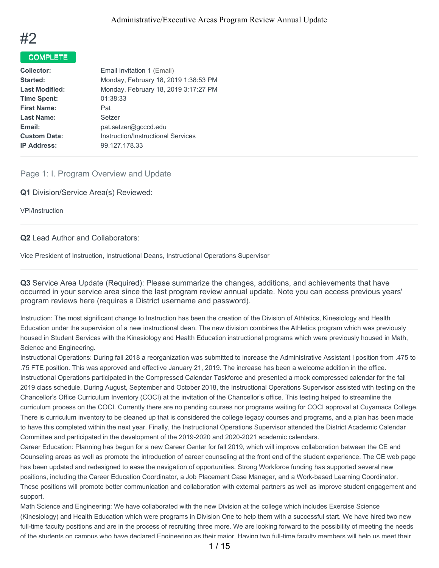

## COMPLETE

| Email Invitation 1 (Email)                |
|-------------------------------------------|
| Monday, February 18, 2019 1:38:53 PM      |
| Monday, February 18, 2019 3:17:27 PM      |
| 01:38:33                                  |
| Pat                                       |
| Setzer                                    |
| pat.setzer@gcccd.edu                      |
| <b>Instruction/Instructional Services</b> |
| 99.127.178.33                             |
|                                           |

## Page 1: I. Program Overview and Update

#### **Q1** Division/Service Area(s) Reviewed:

VPI/Instruction

#### **Q2** Lead Author and Collaborators:

Vice President of Instruction, Instructional Deans, Instructional Operations Supervisor

**Q3** Service Area Update (Required): Please summarize the changes, additions, and achievements that have occurred in your service area since the last program review annual update. Note you can access previous years' program reviews here (requires a District username and password).

Instruction: The most significant change to Instruction has been the creation of the Division of Athletics, Kinesiology and Health Education under the supervision of a new instructional dean. The new division combines the Athletics program which was previously housed in Student Services with the Kinesiology and Health Education instructional programs which were previously housed in Math, Science and Engineering.

Instructional Operations: During fall 2018 a reorganization was submitted to increase the Administrative Assistant I position from .475 to .75 FTE position. This was approved and effective January 21, 2019. The increase has been a welcome addition in the office. Instructional Operations participated in the Compressed Calendar Taskforce and presented a mock compressed calendar for the fall 2019 class schedule. During August, September and October 2018, the Instructional Operations Supervisor assisted with testing on the Chancellor's Office Curriculum Inventory (COCI) at the invitation of the Chancellor's office. This testing helped to streamline the curriculum process on the COCI. Currently there are no pending courses nor programs waiting for COCI approval at Cuyamaca College. There is curriculum inventory to be cleaned up that is considered the college legacy courses and programs, and a plan has been made to have this completed within the next year. Finally, the Instructional Operations Supervisor attended the District Academic Calendar Committee and participated in the development of the 2019-2020 and 2020-2021 academic calendars.

Career Education: Planning has begun for a new Career Center for fall 2019, which will improve collaboration between the CE and Counseling areas as well as promote the introduction of career counseling at the front end of the student experience. The CE web page has been updated and redesigned to ease the navigation of opportunities. Strong Workforce funding has supported several new positions, including the Career Education Coordinator, a Job Placement Case Manager, and a Work-based Learning Coordinator. These positions will promote better communication and collaboration with external partners as well as improve student engagement and support.

Math Science and Engineering: We have collaborated with the new Division at the college which includes Exercise Science (Kinesiology) and Health Education which were programs in Division One to help them with a successful start. We have hired two new full-time faculty positions and are in the process of recruiting three more. We are looking forward to the possibility of meeting the needs of the students on campus who have declared Engineering as their major. Having two full-time faculty members will help us meet their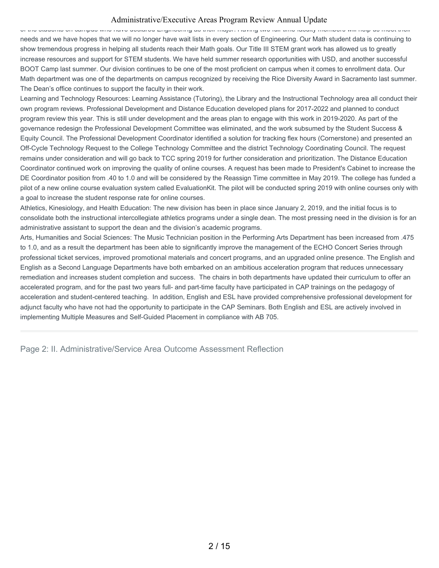of the students on campus who have declared Engineering as their major. Having two full-time faculty members will help us meet their needs and we have hopes that we will no longer have wait lists in every section of Engineering. Our Math student data is continuing to show tremendous progress in helping all students reach their Math goals. Our Title III STEM grant work has allowed us to greatly increase resources and support for STEM students. We have held summer research opportunities with USD, and another successful BOOT Camp last summer. Our division continues to be one of the most proficient on campus when it comes to enrollment data. Our Math department was one of the departments on campus recognized by receiving the Rice Diversity Award in Sacramento last summer. The Dean's office continues to support the faculty in their work.

Learning and Technology Resources: Learning Assistance (Tutoring), the Library and the Instructional Technology area all conduct their own program reviews. Professional Development and Distance Education developed plans for 2017-2022 and planned to conduct program review this year. This is still under development and the areas plan to engage with this work in 2019-2020. As part of the governance redesign the Professional Development Committee was eliminated, and the work subsumed by the Student Success & Equity Council. The Professional Development Coordinator identified a solution for tracking flex hours (Cornerstone) and presented an Off-Cycle Technology Request to the College Technology Committee and the district Technology Coordinating Council. The request remains under consideration and will go back to TCC spring 2019 for further consideration and prioritization. The Distance Education Coordinator continued work on improving the quality of online courses. A request has been made to President's Cabinet to increase the DE Coordinator position from .40 to 1.0 and will be considered by the Reassign Time committee in May 2019. The college has funded a pilot of a new online course evaluation system called EvaluationKit. The pilot will be conducted spring 2019 with online courses only with a goal to increase the student response rate for online courses.

Athletics, Kinesiology, and Health Education: The new division has been in place since January 2, 2019, and the initial focus is to consolidate both the instructional intercollegiate athletics programs under a single dean. The most pressing need in the division is for an administrative assistant to support the dean and the division's academic programs.

Arts, Humanities and Social Sciences: The Music Technician position in the Performing Arts Department has been increased from .475 to 1.0, and as a result the department has been able to significantly improve the management of the ECHO Concert Series through professional ticket services, improved promotional materials and concert programs, and an upgraded online presence. The English and English as a Second Language Departments have both embarked on an ambitious acceleration program that reduces unnecessary remediation and increases student completion and success. The chairs in both departments have updated their curriculum to offer an accelerated program, and for the past two years full- and part-time faculty have participated in CAP trainings on the pedagogy of acceleration and student-centered teaching. In addition, English and ESL have provided comprehensive professional development for adjunct faculty who have not had the opportunity to participate in the CAP Seminars. Both English and ESL are actively involved in implementing Multiple Measures and Self-Guided Placement in compliance with AB 705.

Page 2: II. Administrative/Service Area Outcome Assessment Reflection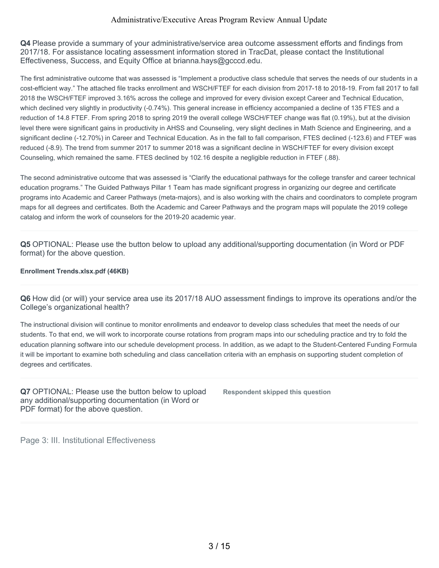**Q4** Please provide a summary of your administrative/service area outcome assessment efforts and findings from 2017/18. For assistance locating assessment information stored in TracDat, please contact the Institutional Effectiveness, Success, and Equity Office at brianna.hays@gcccd.edu.

The first administrative outcome that was assessed is "Implement a productive class schedule that serves the needs of our students in a cost-efficient way." The attached file tracks enrollment and WSCH/FTEF for each division from 2017-18 to 2018-19. From fall 2017 to fall 2018 the WSCH/FTEF improved 3.16% across the college and improved for every division except Career and Technical Education, which declined very slightly in productivity (-0.74%). This general increase in efficiency accompanied a decline of 135 FTES and a reduction of 14.8 FTEF. From spring 2018 to spring 2019 the overall college WSCH/FTEF change was flat (0.19%), but at the division level there were significant gains in productivity in AHSS and Counseling, very slight declines in Math Science and Engineering, and a significant decline (-12.70%) in Career and Technical Education. As in the fall to fall comparison, FTES declined (-123.6) and FTEF was reduced (-8.9). The trend from summer 2017 to summer 2018 was a significant decline in WSCH/FTEF for every division except Counseling, which remained the same. FTES declined by 102.16 despite a negligible reduction in FTEF (.88).

The second administrative outcome that was assessed is "Clarify the educational pathways for the college transfer and career technical education programs." The Guided Pathways Pillar 1 Team has made significant progress in organizing our degree and certificate programs into Academic and Career Pathways (meta-majors), and is also working with the chairs and coordinators to complete program maps for all degrees and certificates. Both the Academic and Career Pathways and the program maps will populate the 2019 college catalog and inform the work of counselors for the 2019-20 academic year.

**Q5** OPTIONAL: Please use the button below to upload any additional/supporting documentation (in Word or PDF format) for the above question.

#### **Enrollment Trends.xlsx.pdf (46KB)**

**Q6** How did (or will) your service area use its 2017/18 AUO assessment findings to improve its operations and/or the College's organizational health?

The instructional division will continue to monitor enrollments and endeavor to develop class schedules that meet the needs of our students. To that end, we will work to incorporate course rotations from program maps into our scheduling practice and try to fold the education planning software into our schedule development process. In addition, as we adapt to the Student-Centered Funding Formula it will be important to examine both scheduling and class cancellation criteria with an emphasis on supporting student completion of degrees and certificates.

**Q7** OPTIONAL: Please use the button below to upload any additional/supporting documentation (in Word or PDF format) for the above question.

**Respondent skipped this question**

Page 3: III. Institutional Effectiveness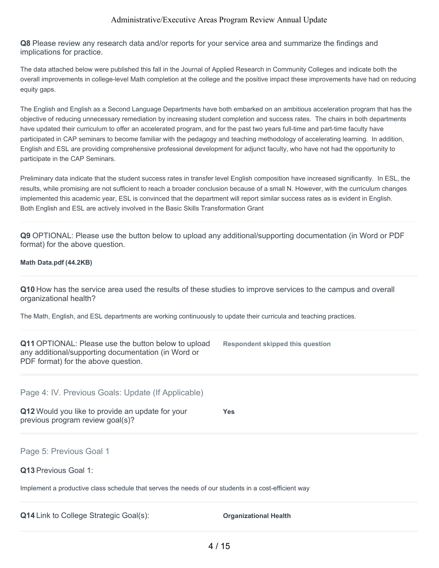**Q8** Please review any research data and/or reports for your service area and summarize the findings and implications for practice.

The data attached below were published this fall in the Journal of Applied Research in Community Colleges and indicate both the overall improvements in college-level Math completion at the college and the positive impact these improvements have had on reducing equity gaps.

The English and English as a Second Language Departments have both embarked on an ambitious acceleration program that has the objective of reducing unnecessary remediation by increasing student completion and success rates. The chairs in both departments have updated their curriculum to offer an accelerated program, and for the past two years full-time and part-time faculty have participated in CAP seminars to become familiar with the pedagogy and teaching methodology of accelerating learning. In addition, English and ESL are providing comprehensive professional development for adjunct faculty, who have not had the opportunity to participate in the CAP Seminars.

Preliminary data indicate that the student success rates in transfer level English composition have increased significantly. In ESL, the results, while promising are not sufficient to reach a broader conclusion because of a small N. However, with the curriculum changes implemented this academic year, ESL is convinced that the department will report similar success rates as is evident in English. Both English and ESL are actively involved in the Basic Skills Transformation Grant

**Q9** OPTIONAL: Please use the button below to upload any additional/supporting documentation (in Word or PDF format) for the above question.

#### **Math Data.pdf (44.2KB)**

**Q10** How has the service area used the results of these studies to improve services to the campus and overall organizational health?

The Math, English, and ESL departments are working continuously to update their curricula and teaching practices.

| <b>Q11 OPTIONAL: Please use the button below to upload</b><br>any additional/supporting documentation (in Word or<br>PDF format) for the above question. | <b>Respondent skipped this question</b> |
|----------------------------------------------------------------------------------------------------------------------------------------------------------|-----------------------------------------|
| Page 4: IV. Previous Goals: Update (If Applicable)                                                                                                       |                                         |
| Q12 Would you like to provide an update for your<br>previous program review goal(s)?                                                                     | <b>Yes</b>                              |
| Page 5: Previous Goal 1                                                                                                                                  |                                         |
| Q13 Previous Goal 1:                                                                                                                                     |                                         |
| Implement a productive class schedule that serves the needs of our students in a cost-efficient way                                                      |                                         |
| <b>Q14</b> Link to College Strategic Goal(s):                                                                                                            | <b>Organizational Health</b>            |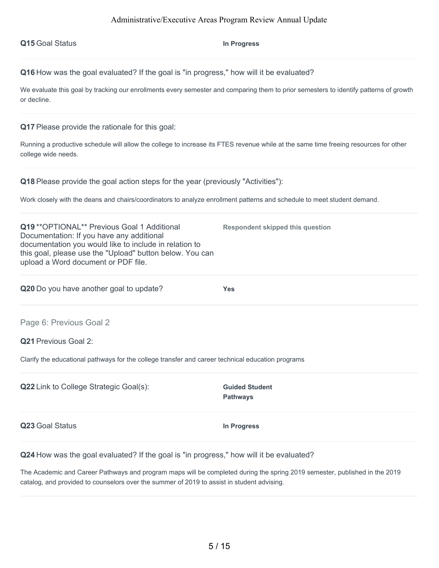**Q15** Goal Status **In Progress**

**Q16** How was the goal evaluated? If the goal is "in progress," how will it be evaluated?

We evaluate this goal by tracking our enrollments every semester and comparing them to prior semesters to identify patterns of growth or decline.

**Q17** Please provide the rationale for this goal:

Running a productive schedule will allow the college to increase its FTES revenue while at the same time freeing resources for other college wide needs.

**Q18** Please provide the goal action steps for the year (previously "Activities"):

Work closely with the deans and chairs/coordinators to analyze enrollment patterns and schedule to meet student demand.

**Q19** \*\*OPTIONAL\*\* Previous Goal 1 Additional Documentation: If you have any additional documentation you would like to include in relation to this goal, please use the "Upload" button below. You can upload a Word document or PDF file. **Respondent skipped this question**

**Q20** Do you have another goal to update? **Yes**

Page 6: Previous Goal 2

**Q21** Previous Goal 2:

Clarify the educational pathways for the college transfer and career technical education programs

**Q22** Link to College Strategic Goal(s): **Guided Student** 

**Pathways**

**Q23** Goal Status **In Progress**

**Q24** How was the goal evaluated? If the goal is "in progress," how will it be evaluated?

The Academic and Career Pathways and program maps will be completed during the spring 2019 semester, published in the 2019 catalog, and provided to counselors over the summer of 2019 to assist in student advising.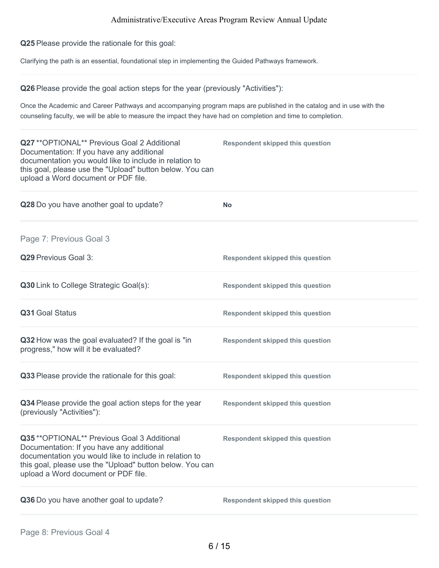**Q25** Please provide the rationale for this goal:

Clarifying the path is an essential, foundational step in implementing the Guided Pathways framework.

**Q26** Please provide the goal action steps for the year (previously "Activities"):

Once the Academic and Career Pathways and accompanying program maps are published in the catalog and in use with the counseling faculty, we will be able to measure the impact they have had on completion and time to completion.

| Q27 ** OPTIONAL** Previous Goal 2 Additional<br>Documentation: If you have any additional<br>documentation you would like to include in relation to<br>this goal, please use the "Upload" button below. You can<br>upload a Word document or PDF file. | <b>Respondent skipped this question</b> |
|--------------------------------------------------------------------------------------------------------------------------------------------------------------------------------------------------------------------------------------------------------|-----------------------------------------|
| Q28 Do you have another goal to update?                                                                                                                                                                                                                | No                                      |
| Page 7: Previous Goal 3                                                                                                                                                                                                                                |                                         |
| Q29 Previous Goal 3:                                                                                                                                                                                                                                   | <b>Respondent skipped this question</b> |
| Q30 Link to College Strategic Goal(s):                                                                                                                                                                                                                 | <b>Respondent skipped this question</b> |
| Q31 Goal Status                                                                                                                                                                                                                                        | <b>Respondent skipped this question</b> |
| Q32 How was the goal evaluated? If the goal is "in<br>progress," how will it be evaluated?                                                                                                                                                             | <b>Respondent skipped this question</b> |
| Q33 Please provide the rationale for this goal:                                                                                                                                                                                                        | <b>Respondent skipped this question</b> |
| Q34 Please provide the goal action steps for the year<br>(previously "Activities"):                                                                                                                                                                    | <b>Respondent skipped this question</b> |
| Q35**OPTIONAL** Previous Goal 3 Additional<br>Documentation: If you have any additional<br>documentation you would like to include in relation to<br>this goal, please use the "Upload" button below. You can<br>upload a Word document or PDF file.   | <b>Respondent skipped this question</b> |
| Q36 Do you have another goal to update?                                                                                                                                                                                                                | <b>Respondent skipped this question</b> |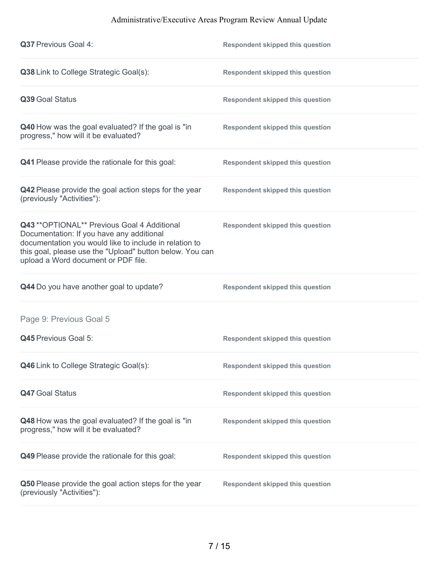| <b>Q37 Previous Goal 4:</b>                                                                                                                                                                                                                            | <b>Respondent skipped this question</b> |
|--------------------------------------------------------------------------------------------------------------------------------------------------------------------------------------------------------------------------------------------------------|-----------------------------------------|
| Q38 Link to College Strategic Goal(s):                                                                                                                                                                                                                 | <b>Respondent skipped this question</b> |
| Q39 Goal Status                                                                                                                                                                                                                                        | <b>Respondent skipped this question</b> |
| Q40 How was the goal evaluated? If the goal is "in<br>progress," how will it be evaluated?                                                                                                                                                             | <b>Respondent skipped this question</b> |
| Q41 Please provide the rationale for this goal:                                                                                                                                                                                                        | <b>Respondent skipped this question</b> |
| Q42 Please provide the goal action steps for the year<br>(previously "Activities"):                                                                                                                                                                    | <b>Respondent skipped this question</b> |
| Q43 ** OPTIONAL** Previous Goal 4 Additional<br>Documentation: If you have any additional<br>documentation you would like to include in relation to<br>this goal, please use the "Upload" button below. You can<br>upload a Word document or PDF file. | <b>Respondent skipped this question</b> |
| Q44 Do you have another goal to update?                                                                                                                                                                                                                | <b>Respondent skipped this question</b> |
| Page 9: Previous Goal 5                                                                                                                                                                                                                                |                                         |
| <b>Q45</b> Previous Goal 5:                                                                                                                                                                                                                            | <b>Respondent skipped this question</b> |
| <b>Q46</b> Link to College Strategic Goal(s):                                                                                                                                                                                                          | <b>Respondent skipped this question</b> |
| <b>Q47 Goal Status</b>                                                                                                                                                                                                                                 | <b>Respondent skipped this question</b> |
| Q48 How was the goal evaluated? If the goal is "in<br>progress," how will it be evaluated?                                                                                                                                                             | <b>Respondent skipped this question</b> |
| Q49 Please provide the rationale for this goal:                                                                                                                                                                                                        | <b>Respondent skipped this question</b> |
| Q50 Please provide the goal action steps for the year<br>(previously "Activities"):                                                                                                                                                                    | <b>Respondent skipped this question</b> |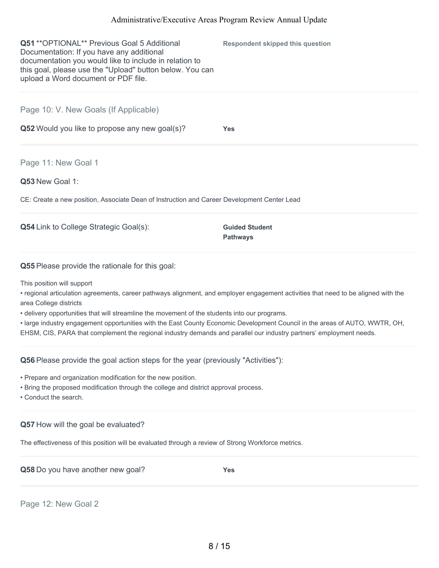| <b>Q51 **OPTIONAL** Previous Goal 5 Additional</b><br>Documentation: If you have any additional<br>documentation you would like to include in relation to<br>this goal, please use the "Upload" button below. You can<br>upload a Word document or PDF file. | <b>Respondent skipped this question</b>  |
|--------------------------------------------------------------------------------------------------------------------------------------------------------------------------------------------------------------------------------------------------------------|------------------------------------------|
| Page 10: V. New Goals (If Applicable)                                                                                                                                                                                                                        |                                          |
| Q52 Would you like to propose any new goal(s)?                                                                                                                                                                                                               | <b>Yes</b>                               |
| Page 11: New Goal 1                                                                                                                                                                                                                                          |                                          |
| Q53 New Goal 1:                                                                                                                                                                                                                                              |                                          |
| CE: Create a new position, Associate Dean of Instruction and Career Development Center Lead                                                                                                                                                                  |                                          |
| <b>Q54</b> Link to College Strategic Goal(s):                                                                                                                                                                                                                | <b>Guided Student</b><br><b>Pathways</b> |

**Q55** Please provide the rationale for this goal:

This position will support

• regional articulation agreements, career pathways alignment, and employer engagement activities that need to be aligned with the area College districts

• delivery opportunities that will streamline the movement of the students into our programs.

• large industry engagement opportunities with the East County Economic Development Council in the areas of AUTO, WWTR, OH, EHSM, CIS, PARA that complement the regional industry demands and parallel our industry partners' employment needs.

**Q56** Please provide the goal action steps for the year (previously "Activities"):

• Prepare and organization modification for the new position.

• Bring the proposed modification through the college and district approval process.

• Conduct the search.

#### **Q57** How will the goal be evaluated?

The effectiveness of this position will be evaluated through a review of Strong Workforce metrics.

**Q58** Do you have another new goal? **Yes**

Page 12: New Goal 2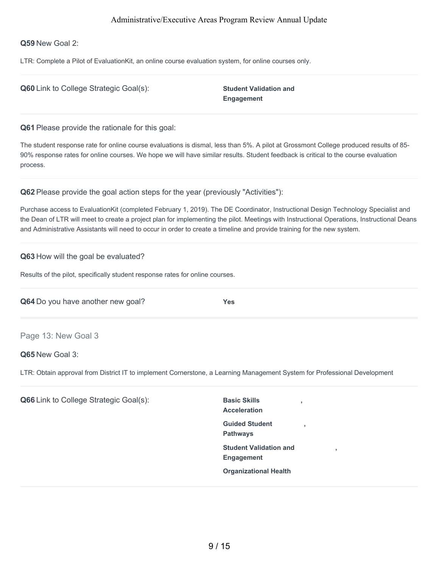**Q59** New Goal 2:

LTR: Complete a Pilot of EvaluationKit, an online course evaluation system, for online courses only.

|  | Q60 Link to College Strategic Goal(s): |
|--|----------------------------------------|
|--|----------------------------------------|

**Student Validation and Engagement**

**Q61** Please provide the rationale for this goal:

The student response rate for online course evaluations is dismal, less than 5%. A pilot at Grossmont College produced results of 85- 90% response rates for online courses. We hope we will have similar results. Student feedback is critical to the course evaluation process.

**Q62** Please provide the goal action steps for the year (previously "Activities"):

Purchase access to EvaluationKit (completed February 1, 2019). The DE Coordinator, Instructional Design Technology Specialist and the Dean of LTR will meet to create a project plan for implementing the pilot. Meetings with Instructional Operations, Instructional Deans and Administrative Assistants will need to occur in order to create a timeline and provide training for the new system.

## **Q63** How will the goal be evaluated?

Results of the pilot, specifically student response rates for online courses.

|  | Q64 Do you have another new goal? | <b>Yes</b> |
|--|-----------------------------------|------------|
|--|-----------------------------------|------------|

Page 13: New Goal 3

**Q65** New Goal 3:

LTR: Obtain approval from District IT to implement Cornerstone, a Learning Management System for Professional Development

**Q66** Link to College Strategic Goal(s): Basic Skills

**Acceleration , Guided Student Pathways , Student Validation and Engagement Organizational Health**

**,**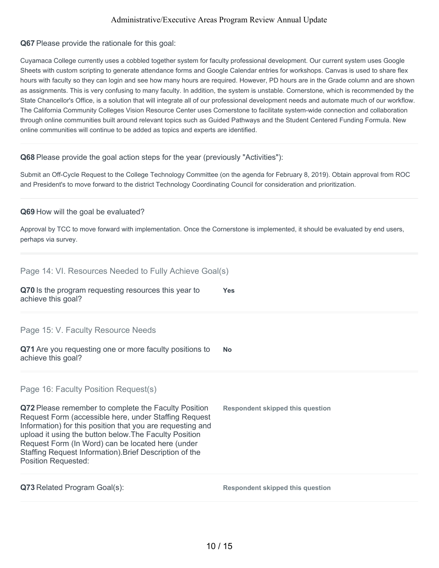#### **Q67** Please provide the rationale for this goal:

Cuyamaca College currently uses a cobbled together system for faculty professional development. Our current system uses Google Sheets with custom scripting to generate attendance forms and Google Calendar entries for workshops. Canvas is used to share flex hours with faculty so they can login and see how many hours are required. However, PD hours are in the Grade column and are shown as assignments. This is very confusing to many faculty. In addition, the system is unstable. Cornerstone, which is recommended by the State Chancellor's Office, is a solution that will integrate all of our professional development needs and automate much of our workflow. The California Community Colleges Vision Resource Center uses Cornerstone to facilitate system-wide connection and collaboration through online communities built around relevant topics such as Guided Pathways and the Student Centered Funding Formula. New online communities will continue to be added as topics and experts are identified.

#### **Q68** Please provide the goal action steps for the year (previously "Activities"):

Submit an Off-Cycle Request to the College Technology Committee (on the agenda for February 8, 2019). Obtain approval from ROC and President's to move forward to the district Technology Coordinating Council for consideration and prioritization.

#### **Q69** How will the goal be evaluated?

Approval by TCC to move forward with implementation. Once the Cornerstone is implemented, it should be evaluated by end users, perhaps via survey.

| Page 14: VI. Resources Needed to Fully Achieve Goal(s)                                                                                                                                                                                                                                                                                                                              |                                         |
|-------------------------------------------------------------------------------------------------------------------------------------------------------------------------------------------------------------------------------------------------------------------------------------------------------------------------------------------------------------------------------------|-----------------------------------------|
| Q70 Is the program requesting resources this year to<br>achieve this goal?                                                                                                                                                                                                                                                                                                          | <b>Yes</b>                              |
| Page 15: V. Faculty Resource Needs                                                                                                                                                                                                                                                                                                                                                  |                                         |
| Q71 Are you requesting one or more faculty positions to<br>achieve this goal?                                                                                                                                                                                                                                                                                                       | <b>No</b>                               |
| Page 16: Faculty Position Request(s)                                                                                                                                                                                                                                                                                                                                                |                                         |
|                                                                                                                                                                                                                                                                                                                                                                                     |                                         |
| Q72 Please remember to complete the Faculty Position<br>Request Form (accessible here, under Staffing Request<br>Information) for this position that you are requesting and<br>upload it using the button below. The Faculty Position<br>Request Form (In Word) can be located here (under<br>Staffing Request Information). Brief Description of the<br><b>Position Requested:</b> | <b>Respondent skipped this question</b> |
| Q73 Related Program Goal(s):                                                                                                                                                                                                                                                                                                                                                        | <b>Respondent skipped this question</b> |
|                                                                                                                                                                                                                                                                                                                                                                                     |                                         |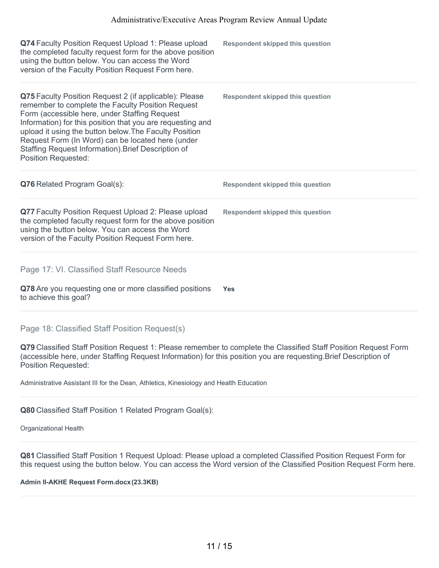| Q74 Faculty Position Request Upload 1: Please upload<br>the completed faculty request form for the above position<br>using the button below. You can access the Word<br>version of the Faculty Position Request Form here.                                                                                                                                                                                                     | <b>Respondent skipped this question</b> |
|--------------------------------------------------------------------------------------------------------------------------------------------------------------------------------------------------------------------------------------------------------------------------------------------------------------------------------------------------------------------------------------------------------------------------------|-----------------------------------------|
| Q75 Faculty Position Request 2 (if applicable): Please<br>remember to complete the Faculty Position Request<br>Form (accessible here, under Staffing Request<br>Information) for this position that you are requesting and<br>upload it using the button below. The Faculty Position<br>Request Form (In Word) can be located here (under<br>Staffing Request Information). Brief Description of<br><b>Position Requested:</b> | <b>Respondent skipped this question</b> |
|                                                                                                                                                                                                                                                                                                                                                                                                                                |                                         |
| <b>Q76</b> Related Program Goal(s):                                                                                                                                                                                                                                                                                                                                                                                            | <b>Respondent skipped this question</b> |
| Q77 Faculty Position Request Upload 2: Please upload<br>the completed faculty request form for the above position<br>using the button below. You can access the Word<br>version of the Faculty Position Request Form here.                                                                                                                                                                                                     | <b>Respondent skipped this question</b> |
| Page 17: VI. Classified Staff Resource Needs                                                                                                                                                                                                                                                                                                                                                                                   |                                         |

#### Page 18: Classified Staff Position Request(s)

**Q79** Classified Staff Position Request 1: Please remember to complete the Classified Staff Position Request Form (accessible here, under Staffing Request Information) for this position you are requesting.Brief Description of Position Requested:

Administrative Assistant III for the Dean, Athletics, Kinesiology and Health Education

**Q80** Classified Staff Position 1 Related Program Goal(s):

Organizational Health

**Q81** Classified Staff Position 1 Request Upload: Please upload a completed Classified Position Request Form for this request using the button below. You can access the Word version of the Classified Position Request Form here.

#### **Admin II-AKHE Request Form.docx(23.3KB)**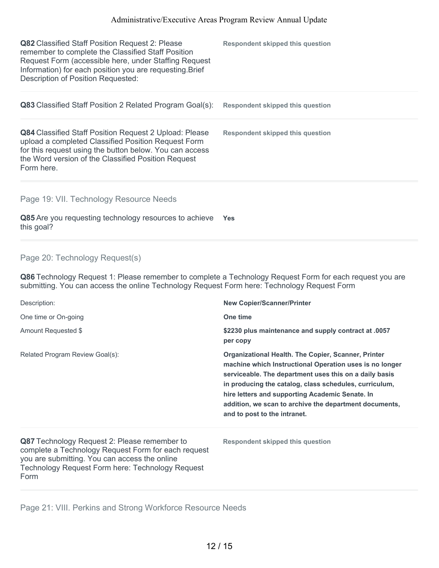| Q82 Classified Staff Position Request 2: Please<br>remember to complete the Classified Staff Position<br>Request Form (accessible here, under Staffing Request<br>Information) for each position you are requesting. Brief<br>Description of Position Requested: | <b>Respondent skipped this question</b> |
|------------------------------------------------------------------------------------------------------------------------------------------------------------------------------------------------------------------------------------------------------------------|-----------------------------------------|
| <b>Q83</b> Classified Staff Position 2 Related Program Goal(s):                                                                                                                                                                                                  | <b>Respondent skipped this question</b> |
| <b>Q84</b> Classified Staff Position Request 2 Upload: Please<br>upload a completed Classified Position Request Form<br>for this request using the button below. You can access<br>the Word version of the Classified Position Request<br>Form here.             | <b>Respondent skipped this question</b> |
| Page 19: VII. Technology Resource Needs                                                                                                                                                                                                                          |                                         |
| Q85 Are you requesting technology resources to achieve<br>this goal?                                                                                                                                                                                             | Yes                                     |

## Page 20: Technology Request(s)

**Q86** Technology Request 1: Please remember to complete a Technology Request Form for each request you are submitting. You can access the online Technology Request Form here: Technology Request Form

| Description:                                                                                                                                                                                                     | <b>New Copier/Scanner/Printer</b>                                                                                                                                                                                                                                                                                                                                                      |
|------------------------------------------------------------------------------------------------------------------------------------------------------------------------------------------------------------------|----------------------------------------------------------------------------------------------------------------------------------------------------------------------------------------------------------------------------------------------------------------------------------------------------------------------------------------------------------------------------------------|
| One time or On-going                                                                                                                                                                                             | One time                                                                                                                                                                                                                                                                                                                                                                               |
| Amount Requested \$                                                                                                                                                                                              | \$2230 plus maintenance and supply contract at .0057<br>per copy                                                                                                                                                                                                                                                                                                                       |
| Related Program Review Goal(s):                                                                                                                                                                                  | <b>Organizational Health. The Copier, Scanner, Printer</b><br>machine which Instructional Operation uses is no longer<br>serviceable. The department uses this on a daily basis<br>in producing the catalog, class schedules, curriculum,<br>hire letters and supporting Academic Senate. In<br>addition, we scan to archive the department documents,<br>and to post to the intranet. |
| Q87 Technology Request 2: Please remember to<br>complete a Technology Request Form for each request<br>you are submitting. You can access the online<br>Technology Request Form here: Technology Request<br>Form | <b>Respondent skipped this question</b>                                                                                                                                                                                                                                                                                                                                                |

Page 21: VIII. Perkins and Strong Workforce Resource Needs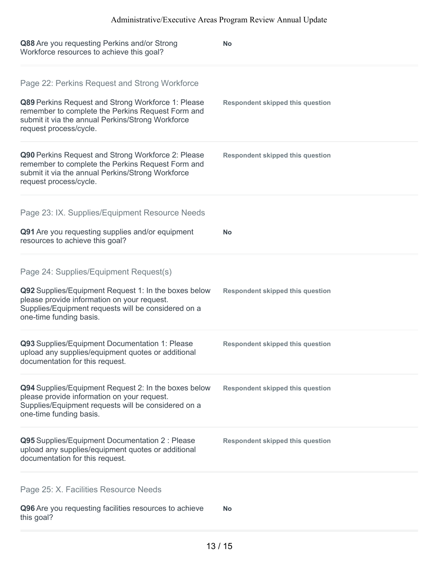| Q88 Are you requesting Perkins and/or Strong<br>Workforce resources to achieve this goal?                                                                                                                                               | <b>No</b>                               |
|-----------------------------------------------------------------------------------------------------------------------------------------------------------------------------------------------------------------------------------------|-----------------------------------------|
| Page 22: Perkins Request and Strong Workforce<br>Q89 Perkins Request and Strong Workforce 1: Please<br>remember to complete the Perkins Request Form and<br>submit it via the annual Perkins/Strong Workforce<br>request process/cycle. | <b>Respondent skipped this question</b> |
| Q90 Perkins Request and Strong Workforce 2: Please<br>remember to complete the Perkins Request Form and<br>submit it via the annual Perkins/Strong Workforce<br>request process/cycle.                                                  | <b>Respondent skipped this question</b> |
| Page 23: IX. Supplies/Equipment Resource Needs<br>Q91 Are you requesting supplies and/or equipment<br>resources to achieve this goal?                                                                                                   | No                                      |
| Page 24: Supplies/Equipment Request(s)<br>Q92 Supplies/Equipment Request 1: In the boxes below<br>please provide information on your request.<br>Supplies/Equipment requests will be considered on a<br>one-time funding basis.         | <b>Respondent skipped this question</b> |
| Q93 Supplies/Equipment Documentation 1: Please<br>upload any supplies/equipment quotes or additional<br>documentation for this request.                                                                                                 | <b>Respondent skipped this question</b> |
| Q94 Supplies/Equipment Request 2: In the boxes below<br>please provide information on your request.<br>Supplies/Equipment requests will be considered on a<br>one-time funding basis.                                                   | <b>Respondent skipped this question</b> |
| Q95 Supplies/Equipment Documentation 2 : Please<br>upload any supplies/equipment quotes or additional<br>documentation for this request.                                                                                                | <b>Respondent skipped this question</b> |
| Page 25: X. Facilities Resource Needs<br>Q96 Are you requesting facilities resources to achieve<br>this goal?                                                                                                                           | No                                      |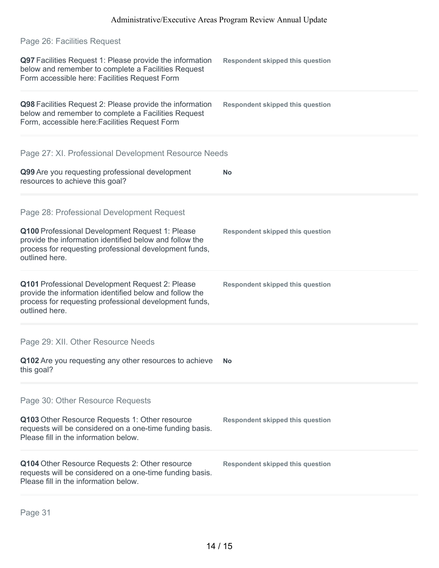| Page 26: Facilities Request                                                                                                                                                            |                                         |
|----------------------------------------------------------------------------------------------------------------------------------------------------------------------------------------|-----------------------------------------|
| Q97 Facilities Request 1: Please provide the information<br>below and remember to complete a Facilities Request<br>Form accessible here: Facilities Request Form                       | <b>Respondent skipped this question</b> |
| Q98 Facilities Request 2: Please provide the information<br>below and remember to complete a Facilities Request<br>Form, accessible here: Facilities Request Form                      | <b>Respondent skipped this question</b> |
| Page 27: XI. Professional Development Resource Needs                                                                                                                                   |                                         |
| Q99 Are you requesting professional development<br>resources to achieve this goal?                                                                                                     | <b>No</b>                               |
| Page 28: Professional Development Request                                                                                                                                              |                                         |
| Q100 Professional Development Request 1: Please<br>provide the information identified below and follow the<br>process for requesting professional development funds,<br>outlined here. | <b>Respondent skipped this question</b> |
| Q101 Professional Development Request 2: Please<br>provide the information identified below and follow the<br>process for requesting professional development funds,<br>outlined here. | <b>Respondent skipped this question</b> |
| Page 29: XII. Other Resource Needs                                                                                                                                                     |                                         |
| Q102 Are you requesting any other resources to achieve<br>this goal?                                                                                                                   | <b>No</b>                               |
| Page 30: Other Resource Requests                                                                                                                                                       |                                         |
| Q103 Other Resource Requests 1: Other resource<br>requests will be considered on a one-time funding basis.<br>Please fill in the information below.                                    | <b>Respondent skipped this question</b> |
| Q104 Other Resource Requests 2: Other resource<br>requests will be considered on a one-time funding basis.<br>Please fill in the information below.                                    | <b>Respondent skipped this question</b> |